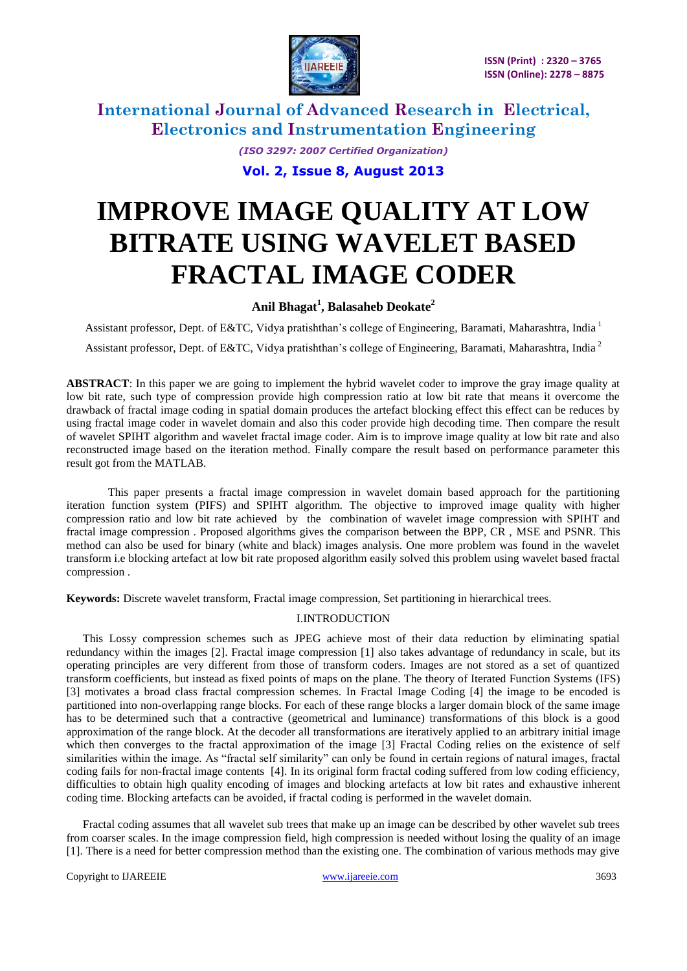

> *(ISO 3297: 2007 Certified Organization)* **Vol. 2, Issue 8, August 2013**

# **IMPROVE IMAGE QUALITY AT LOW BITRATE USING WAVELET BASED FRACTAL IMAGE CODER**

### **Anil Bhagat<sup>1</sup> , Balasaheb Deokate<sup>2</sup>**

Assistant professor, Dept. of E&TC, Vidya pratishthan's college of Engineering, Baramati, Maharashtra, India 1 Assistant professor, Dept. of E&TC, Vidya pratishthan's college of Engineering, Baramati, Maharashtra, India<sup>2</sup>

**ABSTRACT**: In this paper we are going to implement the hybrid wavelet coder to improve the gray image quality at low bit rate, such type of compression provide high compression ratio at low bit rate that means it overcome the drawback of fractal image coding in spatial domain produces the artefact blocking effect this effect can be reduces by using fractal image coder in wavelet domain and also this coder provide high decoding time. Then compare the result of wavelet SPIHT algorithm and wavelet fractal image coder. Aim is to improve image quality at low bit rate and also reconstructed image based on the iteration method. Finally compare the result based on performance parameter this result got from the MATLAB.

This paper presents a fractal image compression in wavelet domain based approach for the partitioning iteration function system (PIFS) and SPIHT algorithm. The objective to improved image quality with higher compression ratio and low bit rate achieved by the combination of wavelet image compression with SPIHT and fractal image compression . Proposed algorithms gives the comparison between the BPP, CR , MSE and PSNR. This method can also be used for binary (white and black) images analysis. One more problem was found in the wavelet transform i.e blocking artefact at low bit rate proposed algorithm easily solved this problem using wavelet based fractal compression .

**Keywords:** Discrete wavelet transform, Fractal image compression, Set partitioning in hierarchical trees.

### I.INTRODUCTION

This Lossy compression schemes such as JPEG achieve most of their data reduction by eliminating spatial redundancy within the images [2]. Fractal image compression [1] also takes advantage of redundancy in scale, but its operating principles are very different from those of transform coders. Images are not stored as a set of quantized transform coefficients, but instead as fixed points of maps on the plane. The theory of Iterated Function Systems (IFS) [3] motivates a broad class fractal compression schemes. In Fractal Image Coding [4] the image to be encoded is partitioned into non-overlapping range blocks. For each of these range blocks a larger domain block of the same image has to be determined such that a contractive (geometrical and luminance) transformations of this block is a good approximation of the range block. At the decoder all transformations are iteratively applied to an arbitrary initial image which then converges to the fractal approximation of the image [3] Fractal Coding relies on the existence of self similarities within the image. As "fractal self similarity" can only be found in certain regions of natural images, fractal coding fails for non-fractal image contents [4]. In its original form fractal coding suffered from low coding efficiency, difficulties to obtain high quality encoding of images and blocking artefacts at low bit rates and exhaustive inherent coding time. Blocking artefacts can be avoided, if fractal coding is performed in the wavelet domain.

Fractal coding assumes that all wavelet sub trees that make up an image can be described by other wavelet sub trees from coarser scales. In the image compression field, high compression is needed without losing the quality of an image [1]. There is a need for better compression method than the existing one. The combination of various methods may give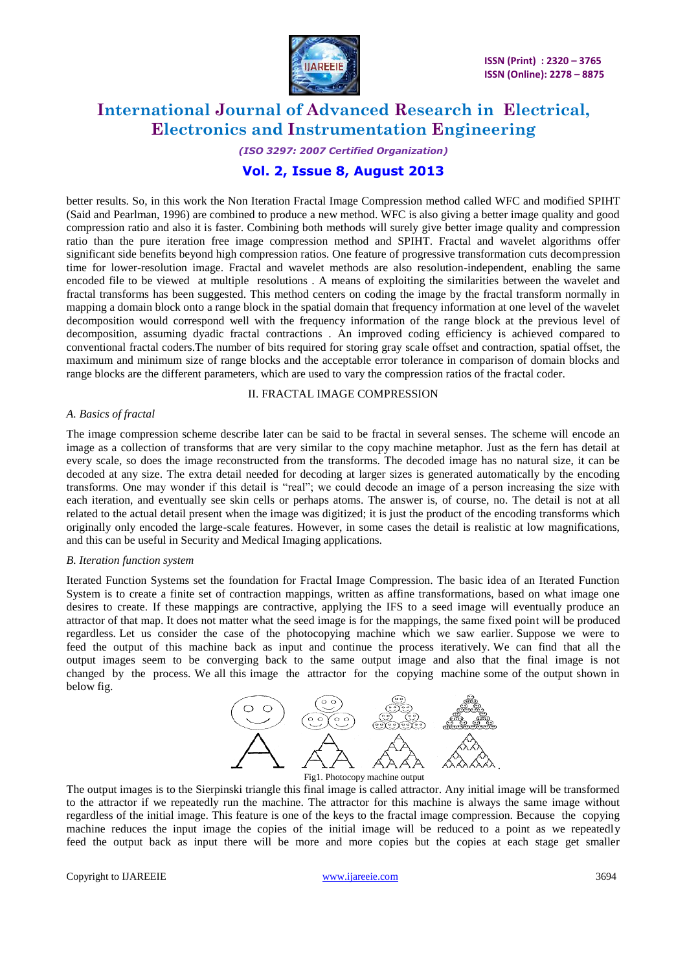

# *(ISO 3297: 2007 Certified Organization)*

## **Vol. 2, Issue 8, August 2013**

better results. So, in this work the Non Iteration Fractal Image Compression method called WFC and modified SPIHT (Said and Pearlman, 1996) are combined to produce a new method. WFC is also giving a better image quality and good compression ratio and also it is faster. Combining both methods will surely give better image quality and compression ratio than the pure iteration free image compression method and SPIHT. Fractal and wavelet algorithms offer significant side benefits beyond high compression ratios. One feature of progressive transformation cuts decompression time for lower-resolution image. Fractal and wavelet methods are also resolution-independent, enabling the same encoded file to be viewed at multiple resolutions . A means of exploiting the similarities between the wavelet and fractal transforms has been suggested. This method centers on coding the image by the fractal transform normally in mapping a domain block onto a range block in the spatial domain that frequency information at one level of the wavelet decomposition would correspond well with the frequency information of the range block at the previous level of decomposition, assuming dyadic fractal contractions . An improved coding efficiency is achieved compared to conventional fractal coders.The number of bits required for storing gray scale offset and contraction, spatial offset, the maximum and minimum size of range blocks and the acceptable error tolerance in comparison of domain blocks and range blocks are the different parameters, which are used to vary the compression ratios of the fractal coder.

### II. FRACTAL IMAGE COMPRESSION

### *A. Basics of fractal*

The image compression scheme describe later can be said to be fractal in several senses. The scheme will encode an image as a collection of transforms that are very similar to the copy machine metaphor. Just as the fern has detail at every scale, so does the image reconstructed from the transforms. The decoded image has no natural size, it can be decoded at any size. The extra detail needed for decoding at larger sizes is generated automatically by the encoding transforms. One may wonder if this detail is "real"; we could decode an image of a person increasing the size with each iteration, and eventually see skin cells or perhaps atoms. The answer is, of course, no. The detail is not at all related to the actual detail present when the image was digitized; it is just the product of the encoding transforms which originally only encoded the large-scale features. However, in some cases the detail is realistic at low magnifications, and this can be useful in Security and Medical Imaging applications.

#### *B. Iteration function system*

Iterated Function Systems set the foundation for Fractal Image Compression. The basic idea of an Iterated Function System is to create a finite set of contraction mappings, written as affine transformations, based on what image one desires to create. If these mappings are contractive, applying the IFS to a seed image will eventually produce an attractor of that map. It does not matter what the seed image is for the mappings, the same fixed point will be produced regardless. Let us consider the case of the photocopying machine which we saw earlier. Suppose we were to feed the output of this machine back as input and continue the process iteratively. We can find that all the output images seem to be converging back to the same output image and also that the final image is not changed by the process. We all this image the attractor for the copying machine some of the output shown in below fig.



The output images is to the Sierpinski triangle this final image is called attractor. Any initial image will be transformed to the attractor if we repeatedly run the machine. The attractor for this machine is always the same image without regardless of the initial image. This feature is one of the keys to the fractal image compression. Because the copying machine reduces the input image the copies of the initial image will be reduced to a point as we repeatedly feed the output back as input there will be more and more copies but the copies at each stage get smaller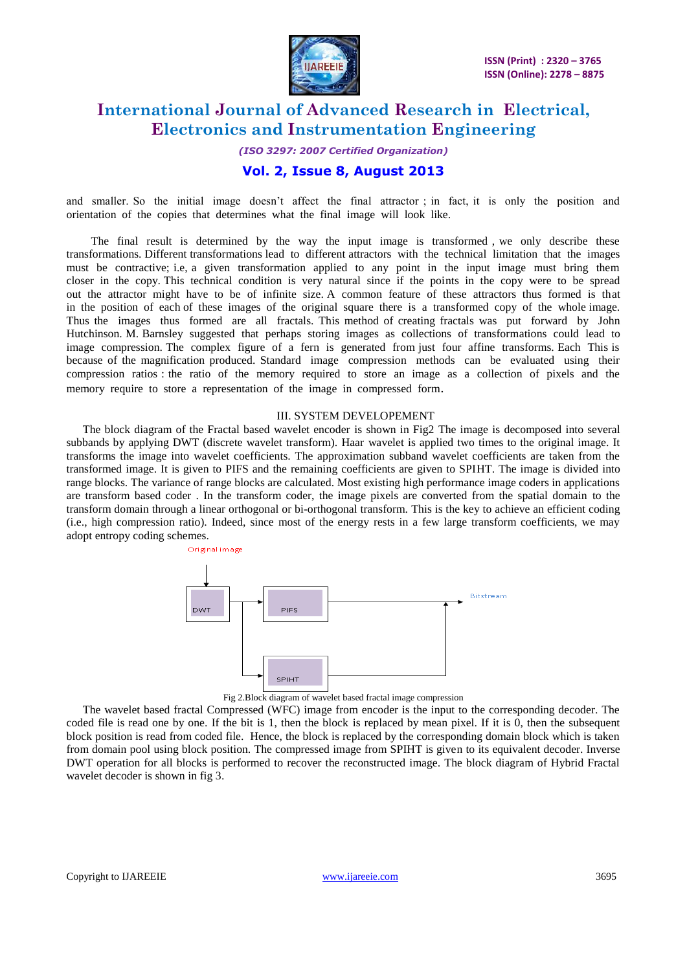

# *(ISO 3297: 2007 Certified Organization)*

### **Vol. 2, Issue 8, August 2013**

and smaller. So the initial image doesn't affect the final attractor ; in fact, it is only the position and orientation of the copies that determines what the final image will look like.

The final result is determined by the way the input image is transformed , we only describe these transformations. Different transformations lead to different attractors with the technical limitation that the images must be contractive; i.e, a given transformation applied to any point in the input image must bring them closer in the copy. This technical condition is very natural since if the points in the copy were to be spread out the attractor might have to be of infinite size. A common feature of these attractors thus formed is that in the position of each of these images of the original square there is a transformed copy of the whole image. Thus the images thus formed are all fractals. This method of creating fractals was put forward by John Hutchinson. M. Barnsley suggested that perhaps storing images as collections of transformations could lead to image compression. The complex figure of a fern is generated from just four affine transforms. Each This is because of the magnification produced. Standard image compression methods can be evaluated using their compression ratios : the ratio of the memory required to store an image as a collection of pixels and the memory require to store a representation of the image in compressed form.

### III. SYSTEM DEVELOPEMENT

The block diagram of the Fractal based wavelet encoder is shown in Fig2 The image is decomposed into several subbands by applying DWT (discrete wavelet transform). Haar wavelet is applied two times to the original image. It transforms the image into wavelet coefficients. The approximation subband wavelet coefficients are taken from the transformed image. It is given to PIFS and the remaining coefficients are given to SPIHT. The image is divided into range blocks. The variance of range blocks are calculated. Most existing high performance image coders in applications are transform based coder . In the transform coder, the image pixels are converted from the spatial domain to the transform domain through a linear orthogonal or bi-orthogonal transform. This is the key to achieve an efficient coding (i.e., high compression ratio). Indeed, since most of the energy rests in a few large transform coefficients, we may adopt entropy coding schemes.



Fig 2.Block diagram of wavelet based fractal image compression

The wavelet based fractal Compressed (WFC) image from encoder is the input to the corresponding decoder. The coded file is read one by one. If the bit is 1, then the block is replaced by mean pixel. If it is 0, then the subsequent block position is read from coded file. Hence, the block is replaced by the corresponding domain block which is taken from domain pool using block position. The compressed image from SPIHT is given to its equivalent decoder. Inverse DWT operation for all blocks is performed to recover the reconstructed image. The block diagram of Hybrid Fractal wavelet decoder is shown in fig 3.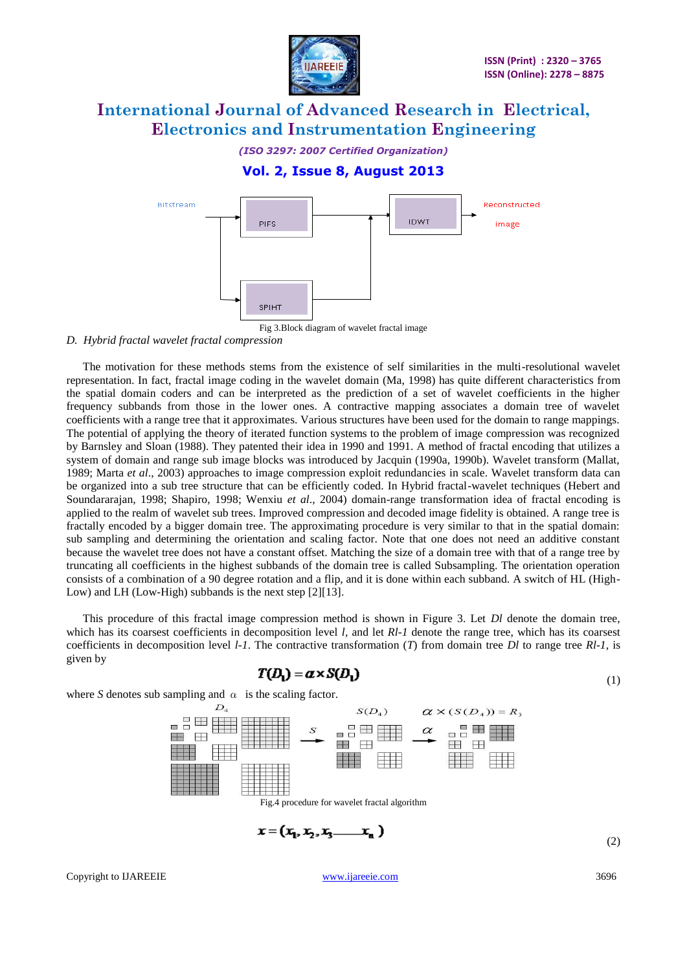

*(ISO 3297: 2007 Certified Organization)*

## **Vol. 2, Issue 8, August 2013**



Fig 3.Block diagram of wavelet fractal image

### *D. Hybrid fractal wavelet fractal compression*

The motivation for these methods stems from the existence of self similarities in the multi-resolutional wavelet representation. In fact, fractal image coding in the wavelet domain (Ma, 1998) has quite different characteristics from the spatial domain coders and can be interpreted as the prediction of a set of wavelet coefficients in the higher frequency subbands from those in the lower ones. A contractive mapping associates a domain tree of wavelet coefficients with a range tree that it approximates. Various structures have been used for the domain to range mappings. The potential of applying the theory of iterated function systems to the problem of image compression was recognized by Barnsley and Sloan (1988). They patented their idea in 1990 and 1991. A method of fractal encoding that utilizes a system of domain and range sub image blocks was introduced by Jacquin (1990a, 1990b). Wavelet transform (Mallat, 1989; Marta *et al*., 2003) approaches to image compression exploit redundancies in scale. Wavelet transform data can be organized into a sub tree structure that can be efficiently coded. In Hybrid fractal-wavelet techniques (Hebert and Soundararajan, 1998; Shapiro, 1998; Wenxiu *et al*., 2004) domain-range transformation idea of fractal encoding is applied to the realm of wavelet sub trees. Improved compression and decoded image fidelity is obtained. A range tree is fractally encoded by a bigger domain tree. The approximating procedure is very similar to that in the spatial domain: sub sampling and determining the orientation and scaling factor. Note that one does not need an additive constant because the wavelet tree does not have a constant offset. Matching the size of a domain tree with that of a range tree by truncating all coefficients in the highest subbands of the domain tree is called Subsampling. The orientation operation consists of a combination of a 90 degree rotation and a flip, and it is done within each subband. A switch of HL (High-Low) and LH (Low-High) subbands is the next step [2][13].

This procedure of this fractal image compression method is shown in Figure 3. Let *Dl* denote the domain tree, which has its coarsest coefficients in decomposition level *l*, and let *Rl-1* denote the range tree, which has its coarsest coefficients in decomposition level *l-1*. The contractive transformation (*T*) from domain tree *Dl* to range tree *Rl-1,* is given by

$$
T(D_1) = a \times S(D_1) \tag{1}
$$

where *S* denotes sub sampling and  $\alpha$  is the scaling factor.

J



$$
x = (x_1, x_2, x_3 \dots x_n)
$$
 (2)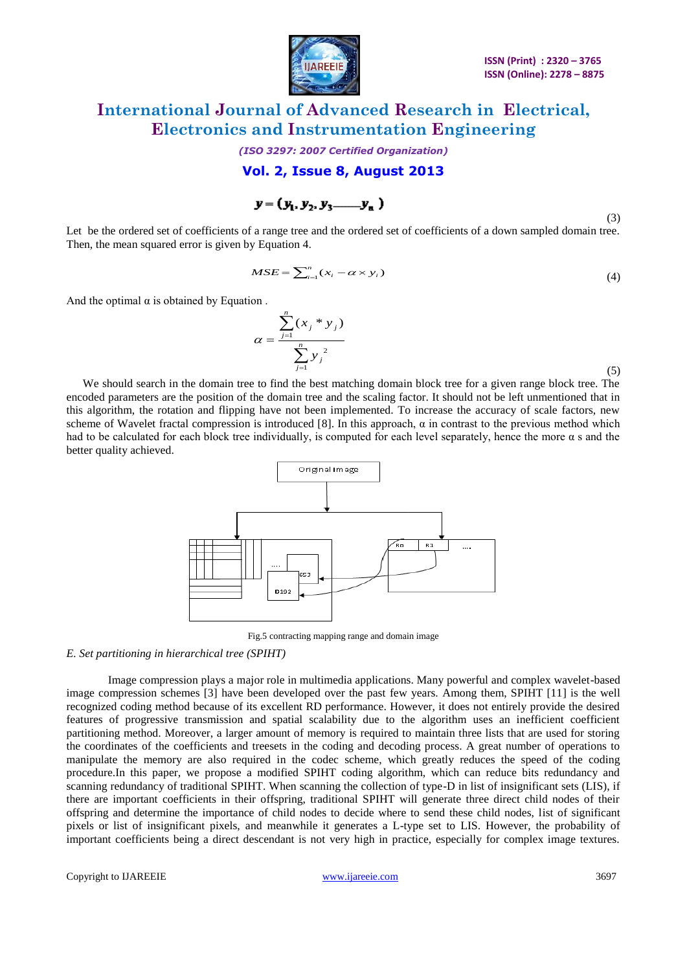

*(ISO 3297: 2007 Certified Organization)*

**Vol. 2, Issue 8, August 2013**

$$
\mathbf{y} = (\mathbf{y}_1, \mathbf{y}_2, \mathbf{y}_3 \dots \mathbf{y}_n)
$$
 (3)

Let be the ordered set of coefficients of a range tree and the ordered set of coefficients of a down sampled domain tree. Then, the mean squared error is given by Equation 4.

$$
MSE = \sum_{i=1}^{n} (x_i - \alpha \times y_i)
$$
 (4)

And the optimal  $\alpha$  is obtained by Equation.

$$
\alpha = \frac{\sum_{j=1}^{n} (x_j * y_j)}{\sum_{j=1}^{n} y_j^2}
$$

(5)

We should search in the domain tree to find the best matching domain block tree for a given range block tree. The encoded parameters are the position of the domain tree and the scaling factor. It should not be left unmentioned that in this algorithm, the rotation and flipping have not been implemented. To increase the accuracy of scale factors, new scheme of Wavelet fractal compression is introduced [8]. In this approach,  $\alpha$  in contrast to the previous method which had to be calculated for each block tree individually, is computed for each level separately, hence the more α s and the better quality achieved.



Fig.5 contracting mapping range and domain image

#### *E. Set partitioning in hierarchical tree (SPIHT)*

Image compression plays a major role in multimedia applications. Many powerful and complex wavelet-based image compression schemes [3] have been developed over the past few years. Among them, SPIHT [11] is the well recognized coding method because of its excellent RD performance. However, it does not entirely provide the desired features of progressive transmission and spatial scalability due to the algorithm uses an inefficient coefficient partitioning method. Moreover, a larger amount of memory is required to maintain three lists that are used for storing the coordinates of the coefficients and treesets in the coding and decoding process. A great number of operations to manipulate the memory are also required in the codec scheme, which greatly reduces the speed of the coding procedure.In this paper, we propose a modified SPIHT coding algorithm, which can reduce bits redundancy and scanning redundancy of traditional SPIHT. When scanning the collection of type-D in list of insignificant sets (LIS), if there are important coefficients in their offspring, traditional SPIHT will generate three direct child nodes of their offspring and determine the importance of child nodes to decide where to send these child nodes, list of significant pixels or list of insignificant pixels, and meanwhile it generates a L-type set to LIS. However, the probability of important coefficients being a direct descendant is not very high in practice, especially for complex image textures.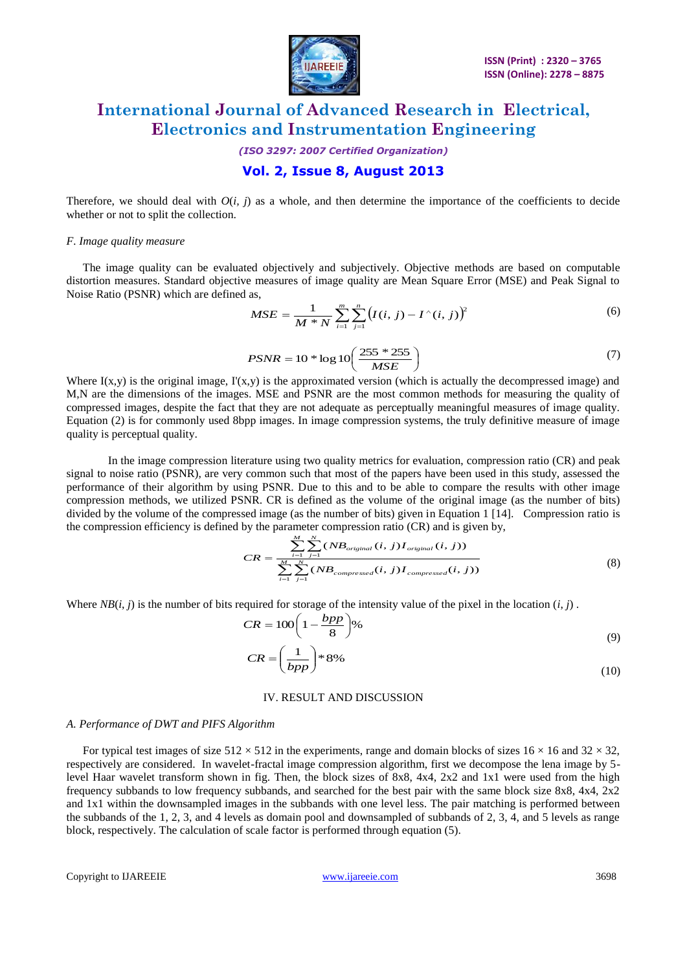

*(ISO 3297: 2007 Certified Organization)* **Vol. 2, Issue 8, August 2013**

Therefore, we should deal with  $O(i, j)$  as a whole, and then determine the importance of the coefficients to decide whether or not to split the collection.

#### *F. Image quality measure*

The image quality can be evaluated objectively and subjectively. Objective methods are based on computable distortion measures. Standard objective measures of image quality are Mean Square Error (MSE) and Peak Signal to Noise Ratio (PSNR) which are defined as,

$$
MSE = \frac{1}{M*N} \sum_{i=1}^{m} \sum_{j=1}^{n} (I(i, j) - I^{(i, j)})^{2}
$$
(6)

$$
PSNR = 10 * \log 10 \left( \frac{255 * 255}{MSE} \right)
$$
 (7)

Where  $I(x,y)$  is the original image,  $I'(x,y)$  is the approximated version (which is actually the decompressed image) and M,N are the dimensions of the images. MSE and PSNR are the most common methods for measuring the quality of compressed images, despite the fact that they are not adequate as perceptually meaningful measures of image quality. Equation (2) is for commonly used 8bpp images. In image compression systems, the truly definitive measure of image quality is perceptual quality.

In the image compression literature using two quality metrics for evaluation, compression ratio (CR) and peak signal to noise ratio (PSNR), are very common such that most of the papers have been used in this study, assessed the performance of their algorithm by using PSNR. Due to this and to be able to compare the results with other image compression methods, we utilized PSNR. CR is defined as the volume of the original image (as the number of bits) divided by the volume of the compressed image (as the number of bits) given in Equation 1 [14]. Compression ratio is the compression efficiency is defined by the parameter compression ratio (CR) and is given by,

$$
CR = \frac{\sum_{i=1}^{M} \sum_{j=1}^{N} (NB_{original}(i, j)I_{original}(i, j))}{\sum_{i=1}^{M} \sum_{j=1}^{N} (NB_{compressed}(i, j)I_{compressed}(i, j))}
$$
(8)

Where  $NB(i, j)$  is the number of bits required for storage of the intensity value of the pixel in the location  $(i, j)$ .

$$
CR = 100\left(1 - \frac{bpp}{8}\right)\%
$$
\n(9)

$$
CR = \left(\frac{1}{bpp}\right) * 8\% \tag{10}
$$

#### IV. RESULT AND DISCUSSION

#### *A. Performance of DWT and PIFS Algorithm*

For typical test images of size  $512 \times 512$  in the experiments, range and domain blocks of sizes  $16 \times 16$  and  $32 \times 32$ , respectively are considered. In wavelet-fractal image compression algorithm, first we decompose the lena image by 5 level Haar wavelet transform shown in fig. Then, the block sizes of 8x8, 4x4, 2x2 and 1x1 were used from the high frequency subbands to low frequency subbands, and searched for the best pair with the same block size 8x8, 4x4, 2x2 and 1x1 within the downsampled images in the subbands with one level less. The pair matching is performed between the subbands of the 1, 2, 3, and 4 levels as domain pool and downsampled of subbands of 2, 3, 4, and 5 levels as range block, respectively. The calculation of scale factor is performed through equation (5).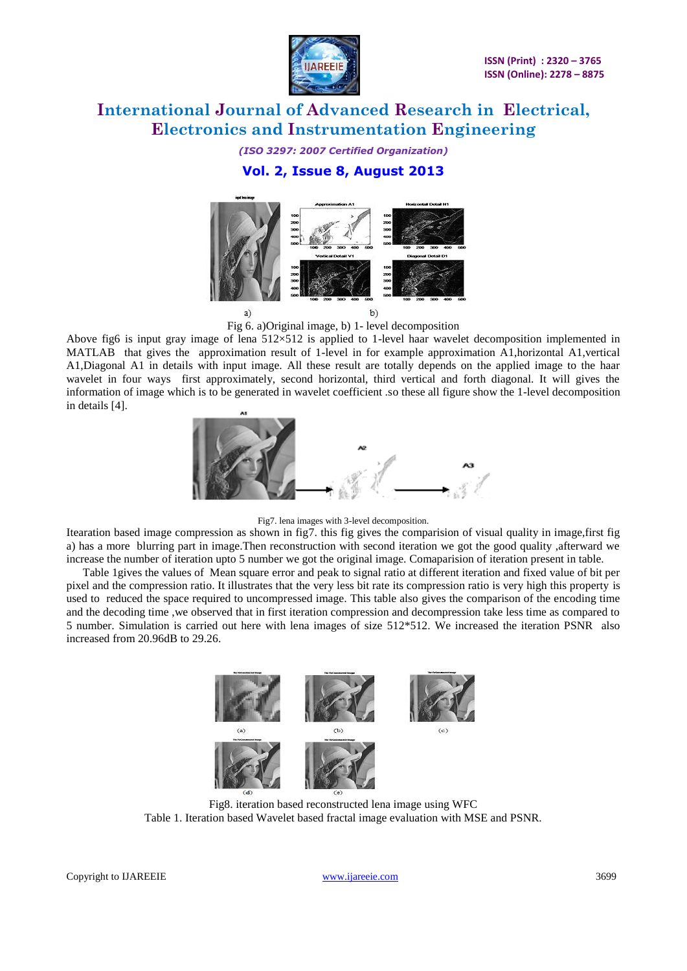

# *(ISO 3297: 2007 Certified Organization)* **Vol. 2, Issue 8, August 2013**



Fig 6. a)Original image, b) 1- level decomposition

Above fig6 is input gray image of lena 512×512 is applied to 1-level haar wavelet decomposition implemented in MATLAB that gives the approximation result of 1-level in for example approximation A1,horizontal A1,vertical A1,Diagonal A1 in details with input image. All these result are totally depends on the applied image to the haar wavelet in four ways first approximately, second horizontal, third vertical and forth diagonal. It will gives the information of image which is to be generated in wavelet coefficient .so these all figure show the 1-level decomposition in details [4].



### Fig7. lena images with 3-level decomposition.

Itearation based image compression as shown in fig7. this fig gives the comparision of visual quality in image,first fig a) has a more blurring part in image.Then reconstruction with second iteration we got the good quality ,afterward we increase the number of iteration upto 5 number we got the original image. Comaparision of iteration present in table.

Table 1gives the values of Mean square error and peak to signal ratio at different iteration and fixed value of bit per pixel and the compression ratio. It illustrates that the very less bit rate its compression ratio is very high this property is used to reduced the space required to uncompressed image. This table also gives the comparison of the encoding time and the decoding time ,we observed that in first iteration compression and decompression take less time as compared to 5 number. Simulation is carried out here with lena images of size 512\*512. We increased the iteration PSNR also increased from 20.96dB to 29.26.



Fig8. iteration based reconstructed lena image using WFC Table 1. Iteration based Wavelet based fractal image evaluation with MSE and PSNR.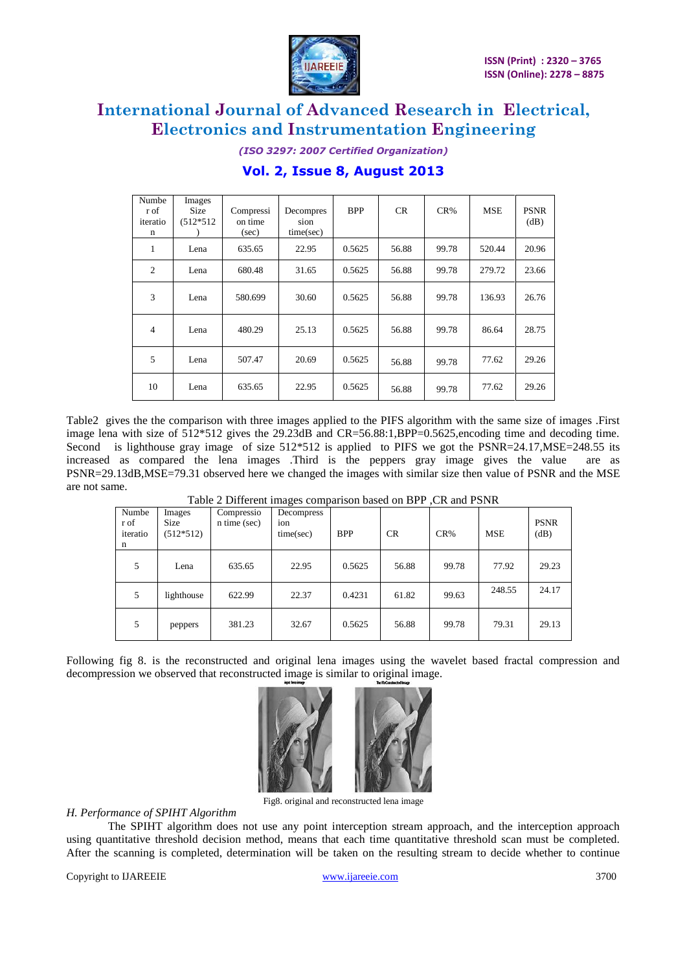

*(ISO 3297: 2007 Certified Organization)* **Vol. 2, Issue 8, August 2013**

| Numbe<br>r of<br>iteratio<br>n | Images<br><b>Size</b><br>$(512*512)$ | Compressi<br>on time<br>(sec) | Decompres<br>sion<br>time(sec) | <b>BPP</b> | CR    | $CR\%$ | <b>MSE</b> | <b>PSNR</b><br>(dB) |
|--------------------------------|--------------------------------------|-------------------------------|--------------------------------|------------|-------|--------|------------|---------------------|
| 1                              | Lena                                 | 635.65                        | 22.95                          | 0.5625     | 56.88 | 99.78  | 520.44     | 20.96               |
| $\overline{2}$                 | Lena                                 | 680.48                        | 31.65                          | 0.5625     | 56.88 | 99.78  | 279.72     | 23.66               |
| 3                              | Lena                                 | 580.699                       | 30.60                          | 0.5625     | 56.88 | 99.78  | 136.93     | 26.76               |
| $\overline{4}$                 | Lena                                 | 480.29                        | 25.13                          | 0.5625     | 56.88 | 99.78  | 86.64      | 28.75               |
| 5                              | Lena                                 | 507.47                        | 20.69                          | 0.5625     | 56.88 | 99.78  | 77.62      | 29.26               |
| 10                             | Lena                                 | 635.65                        | 22.95                          | 0.5625     | 56.88 | 99.78  | 77.62      | 29.26               |

Table2 gives the the comparison with three images applied to the PIFS algorithm with the same size of images .First image lena with size of  $512*512$  gives the 29.23dB and CR=56.88:1,BPP=0.5625,encoding time and decoding time. Second is lighthouse gray image of size 512\*512 is applied to PIFS we got the PSNR=24.17, MSE=248.55 its increased as compared the lena images .Third is the peppers gray image gives the value are as PSNR=29.13dB,MSE=79.31 observed here we changed the images with similar size then value of PSNR and the MSE are not same.

| Numbe<br>r of<br>iteratio<br>n | Images<br><b>Size</b><br>$(512*512)$ | Compressio<br>n time (sec) | $\circ$<br>Decompress<br>ion<br>time(sec) | <b>BPP</b> | CR    | $CR\%$ | <b>MSE</b> | <b>PSNR</b><br>(dB) |
|--------------------------------|--------------------------------------|----------------------------|-------------------------------------------|------------|-------|--------|------------|---------------------|
| 5                              | Lena                                 | 635.65                     | 22.95                                     | 0.5625     | 56.88 | 99.78  | 77.92      | 29.23               |
| 5                              | lighthouse                           | 622.99                     | 22.37                                     | 0.4231     | 61.82 | 99.63  | 248.55     | 24.17               |
| 5                              | peppers                              | 381.23                     | 32.67                                     | 0.5625     | 56.88 | 99.78  | 79.31      | 29.13               |

Table 2 Different images comparison based on BPP ,CR and PSNR

Following fig 8. is the reconstructed and original lena images using the wavelet based fractal compression and decompression we observed that reconstructed image is similar to original image.



Fig8. original and reconstructed lena image

### *H. Performance of SPIHT Algorithm*

The SPIHT algorithm does not use any point interception stream approach, and the interception approach using quantitative threshold decision method, means that each time quantitative threshold scan must be completed. After the scanning is completed, determination will be taken on the resulting stream to decide whether to continue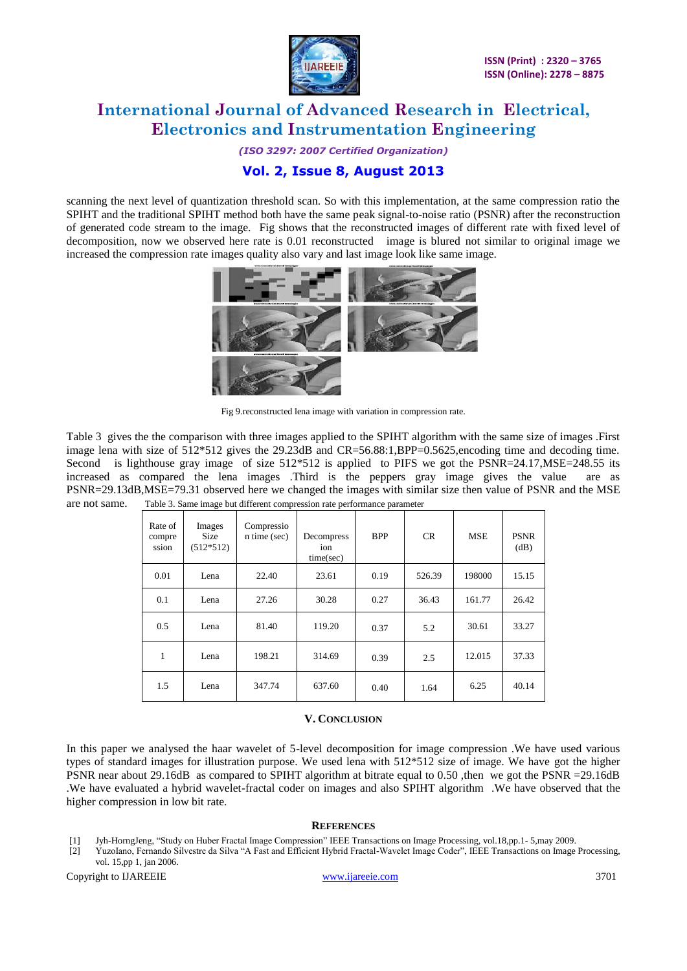

*(ISO 3297: 2007 Certified Organization)* **Vol. 2, Issue 8, August 2013**

scanning the next level of quantization threshold scan. So with this implementation, at the same compression ratio the SPIHT and the traditional SPIHT method both have the same peak signal-to-noise ratio (PSNR) after the reconstruction of generated code stream to the image. Fig shows that the reconstructed images of different rate with fixed level of decomposition, now we observed here rate is 0.01 reconstructed image is blured not similar to original image we increased the compression rate images quality also vary and last image look like same image.



Fig 9.reconstructed lena image with variation in compression rate.

Table 3 gives the the comparison with three images applied to the SPIHT algorithm with the same size of images .First image lena with size of  $512*512$  gives the 29.23dB and CR=56.88:1,BPP=0.5625,encoding time and decoding time. Second is lighthouse gray image of size  $512*512$  is applied to PIFS we got the PSNR=24.17, MSE=248.55 its increased as compared the lena images .Third is the peppers gray image gives the value are as PSNR=29.13dB,MSE=79.31 observed here we changed the images with similar size then value of PSNR and the MSE are not same. Table 3. Same image but different compression rate performance parameter

| Rate of<br>compre<br>ssion | Images<br><b>Size</b><br>$(512*512)$ | Compressio<br>n time (sec) | Decompress<br>ion<br>time/sec) | <b>BPP</b> | <b>CR</b> | <b>MSE</b> | <b>PSNR</b><br>(dB) |
|----------------------------|--------------------------------------|----------------------------|--------------------------------|------------|-----------|------------|---------------------|
| 0.01                       | Lena                                 | 22.40                      | 23.61                          | 0.19       | 526.39    | 198000     | 15.15               |
| 0.1                        | Lena                                 | 27.26                      | 30.28                          | 0.27       | 36.43     | 161.77     | 26.42               |
| 0.5                        | Lena                                 | 81.40                      | 119.20                         | 0.37       | 5.2       | 30.61      | 33.27               |
| 1                          | Lena                                 | 198.21                     | 314.69                         | 0.39       | 2.5       | 12.015     | 37.33               |
| 1.5                        | Lena                                 | 347.74                     | 637.60                         | 0.40       | 1.64      | 6.25       | 40.14               |

### **V. CONCLUSION**

In this paper we analysed the haar wavelet of 5-level decomposition for image compression .We have used various types of standard images for illustration purpose. We used lena with 512\*512 size of image. We have got the higher PSNR near about 29.16dB as compared to SPIHT algorithm at bitrate equal to 0.50 ,then we got the PSNR =29.16dB .We have evaluated a hybrid wavelet-fractal coder on images and also SPIHT algorithm .We have observed that the higher compression in low bit rate.

#### **REFERENCES**

- [1] Jyh-HorngJeng, "Study on Huber Fractal Image Compression" IEEE Transactions on Image Processing, vol.18,pp.1- 5,may 2009.
- [2] YuzoIano, Fernando Silvestre da Silva "A Fast and Efficient Hybrid Fractal-Wavelet Image Coder", IEEE Transactions on Image Processing, vol. 15,pp 1, jan 2006.